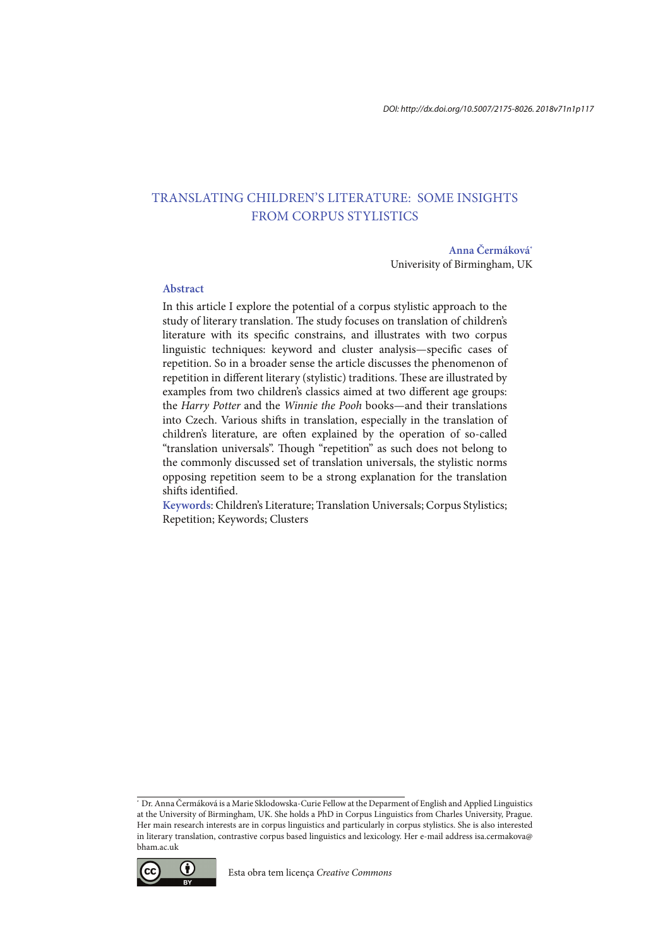# TRANSLATING CHILDREN'S LITERATURE: SOME INSIGHTS FROM CORPUS STYLISTICS

#### **Anna Čermáková\***

Univerisity of Birmingham, UK

## **Abstract**

In this article I explore the potential of a corpus stylistic approach to the study of literary translation. The study focuses on translation of children's literature with its specific constrains, and illustrates with two corpus linguistic techniques: keyword and cluster analysis—specific cases of repetition. So in a broader sense the article discusses the phenomenon of repetition in different literary (stylistic) traditions. These are illustrated by examples from two children's classics aimed at two diferent age groups: the Harry Potter and the Winnie the Pooh books—and their translations into Czech. Various shits in translation, especially in the translation of children's literature, are oten explained by the operation of so-called "translation universals". Though "repetition" as such does not belong to the commonly discussed set of translation universals, the stylistic norms opposing repetition seem to be a strong explanation for the translation shifts identified.

**Keywords**: Children's Literature; Translation Universals; Corpus Stylistics; Repetition; Keywords; Clusters

<sup>\*</sup> Dr. Anna Čermáková is a Marie Sklodowska-Curie Fellow at the Deparment of English and Applied Linguistics at the University of Birmingham, UK. She holds a PhD in Corpus Linguistics from Charles University, Prague. Her main research interests are in corpus linguistics and particularly in corpus stylistics. She is also interested in literary translation, contrastive corpus based linguistics and lexicology. Her e-mail address isa.cermakova@ bham.ac.uk

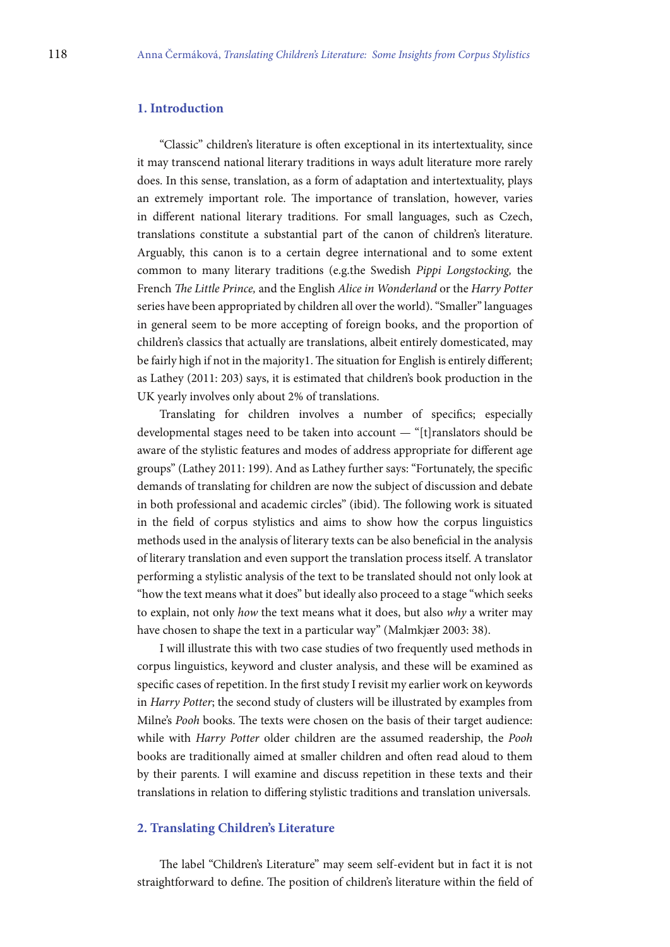# **1. Introduction**

"Classic" children's literature is oten exceptional in its intertextuality, since it may transcend national literary traditions in ways adult literature more rarely does. In this sense, translation, as a form of adaptation and intertextuality, plays an extremely important role. The importance of translation, however, varies in diferent national literary traditions. For small languages, such as Czech, translations constitute a substantial part of the canon of children's literature. Arguably, this canon is to a certain degree international and to some extent common to many literary traditions (e.g.the Swedish Pippi Longstocking, the French The Little Prince, and the English Alice in Wonderland or the Harry Potter series have been appropriated by children all over the world). "Smaller" languages in general seem to be more accepting of foreign books, and the proportion of children's classics that actually are translations, albeit entirely domesticated, may be fairly high if not in the majority1. The situation for English is entirely different; as Lathey (2011: 203) says, it is estimated that children's book production in the UK yearly involves only about 2% of translations.

Translating for children involves a number of specifics; especially developmental stages need to be taken into account — "[t]ranslators should be aware of the stylistic features and modes of address appropriate for diferent age groups" (Lathey 2011: 199). And as Lathey further says: "Fortunately, the speciic demands of translating for children are now the subject of discussion and debate in both professional and academic circles" (ibid). The following work is situated in the ield of corpus stylistics and aims to show how the corpus linguistics methods used in the analysis of literary texts can be also beneficial in the analysis of literary translation and even support the translation process itself. A translator performing a stylistic analysis of the text to be translated should not only look at "how the text means what it does" but ideally also proceed to a stage "which seeks to explain, not only how the text means what it does, but also why a writer may have chosen to shape the text in a particular way" (Malmkjær 2003: 38).

I will illustrate this with two case studies of two frequently used methods in corpus linguistics, keyword and cluster analysis, and these will be examined as specific cases of repetition. In the first study I revisit my earlier work on keywords in Harry Potter; the second study of clusters will be illustrated by examples from Milne's Pooh books. The texts were chosen on the basis of their target audience: while with Harry Potter older children are the assumed readership, the Pooh books are traditionally aimed at smaller children and oten read aloud to them by their parents. I will examine and discuss repetition in these texts and their translations in relation to difering stylistic traditions and translation universals.

#### **2. Translating Children's Literature**

he label "Children's Literature" may seem self-evident but in fact it is not straightforward to define. The position of children's literature within the field of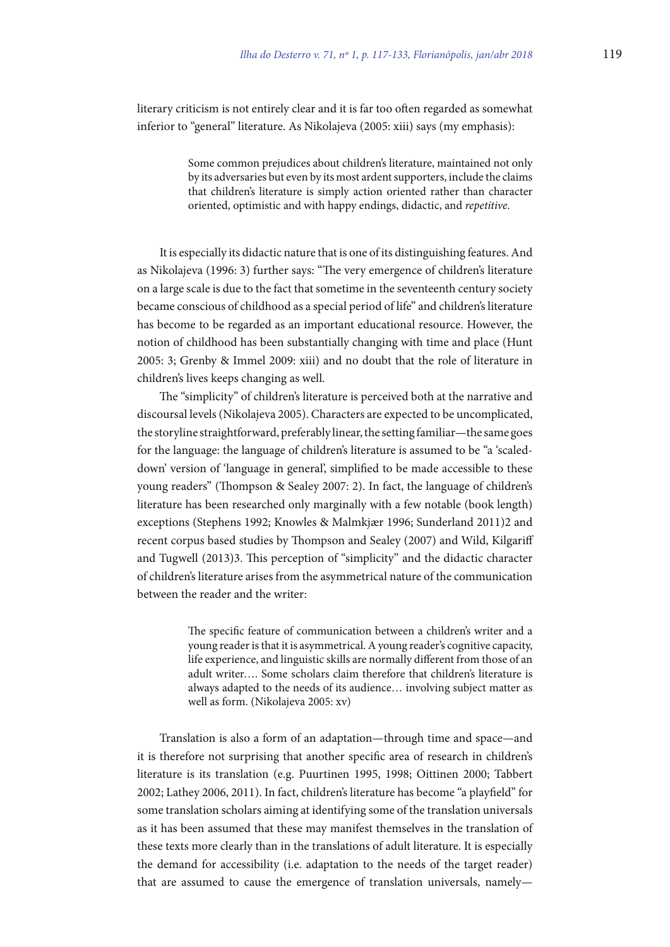literary criticism is not entirely clear and it is far too oten regarded as somewhat inferior to "general" literature. As Nikolajeva (2005: xiii) says (my emphasis):

> Some common prejudices about children's literature, maintained not only by its adversaries but even by its most ardent supporters, include the claims that children's literature is simply action oriented rather than character oriented, optimistic and with happy endings, didactic, and repetitive.

It is especially its didactic nature that is one of its distinguishing features. And as Nikolajeva (1996: 3) further says: "The very emergence of children's literature on a large scale is due to the fact that sometime in the seventeenth century society became conscious of childhood as a special period of life" and children's literature has become to be regarded as an important educational resource. However, the notion of childhood has been substantially changing with time and place (Hunt 2005: 3; Grenby & Immel 2009: xiii) and no doubt that the role of literature in children's lives keeps changing as well.

he "simplicity" of children's literature is perceived both at the narrative and discoursal levels (Nikolajeva 2005). Characters are expected to be uncomplicated, the storyline straightforward, preferably linear, the setting familiar—the same goes for the language: the language of children's literature is assumed to be "a 'scaleddown' version of 'language in general', simplified to be made accessible to these young readers" (Thompson & Sealey 2007: 2). In fact, the language of children's literature has been researched only marginally with a few notable (book length) exceptions (Stephens 1992; Knowles & Malmkjær 1996; Sunderland 2011)2 and recent corpus based studies by Thompson and Sealey (2007) and Wild, Kilgariff and Tugwell (2013)3. This perception of "simplicity" and the didactic character of children's literature arises from the asymmetrical nature of the communication between the reader and the writer:

> The specific feature of communication between a children's writer and a young reader is that it is asymmetrical. A young reader's cognitive capacity, life experience, and linguistic skills are normally diferent from those of an adult writer…. Some scholars claim therefore that children's literature is always adapted to the needs of its audience… involving subject matter as well as form. (Nikolajeva 2005: xv)

Translation is also a form of an adaptation—through time and space—and it is therefore not surprising that another specific area of research in children's literature is its translation (e.g. Puurtinen 1995, 1998; Oittinen 2000; Tabbert 2002; Lathey 2006, 2011). In fact, children's literature has become "a playield" for some translation scholars aiming at identifying some of the translation universals as it has been assumed that these may manifest themselves in the translation of these texts more clearly than in the translations of adult literature. It is especially the demand for accessibility (i.e. adaptation to the needs of the target reader) that are assumed to cause the emergence of translation universals, namely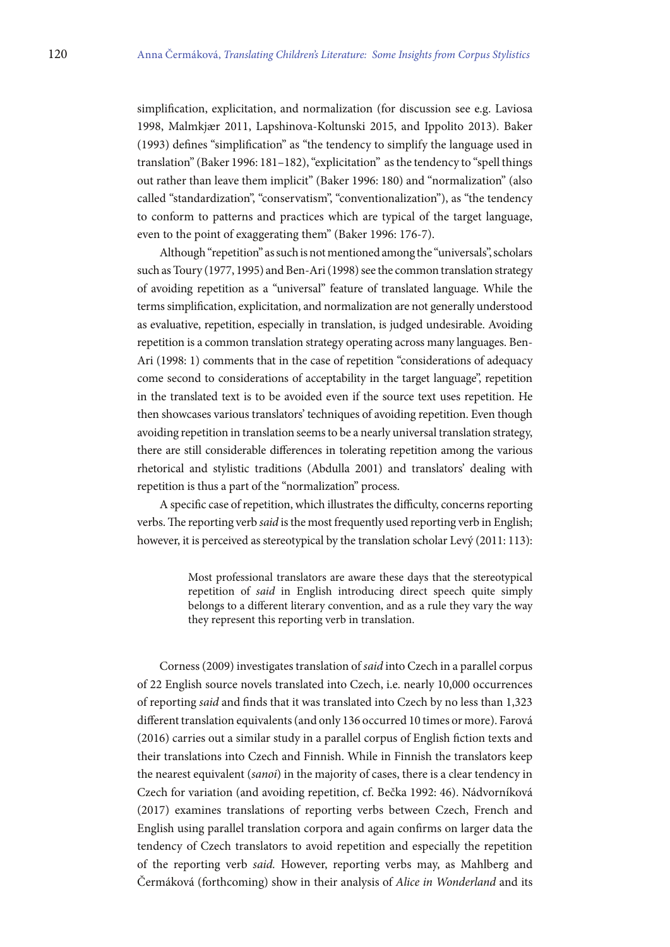simplification, explicitation, and normalization (for discussion see e.g. Laviosa 1998, Malmkjær 2011, Lapshinova-Koltunski 2015, and Ippolito 2013). Baker (1993) deines "simpliication" as "the tendency to simplify the language used in translation" (Baker 1996: 181–182), "explicitation" as the tendency to "spell things out rather than leave them implicit" (Baker 1996: 180) and "normalization" (also called "standardization", "conservatism", "conventionalization"), as "the tendency to conform to patterns and practices which are typical of the target language, even to the point of exaggerating them" (Baker 1996: 176-7).

Although "repetition" as such is not mentioned among the "universals", scholars such as Toury (1977, 1995) and Ben-Ari (1998) see the common translation strategy of avoiding repetition as a "universal" feature of translated language. While the terms simplification, explicitation, and normalization are not generally understood as evaluative, repetition, especially in translation, is judged undesirable. Avoiding repetition is a common translation strategy operating across many languages. Ben-Ari (1998: 1) comments that in the case of repetition "considerations of adequacy come second to considerations of acceptability in the target language", repetition in the translated text is to be avoided even if the source text uses repetition. He then showcases various translators' techniques of avoiding repetition. Even though avoiding repetition in translation seems to be a nearly universal translation strategy, there are still considerable diferences in tolerating repetition among the various rhetorical and stylistic traditions (Abdulla 2001) and translators' dealing with repetition is thus a part of the "normalization" process.

A specific case of repetition, which illustrates the difficulty, concerns reporting verbs. The reporting verb said is the most frequently used reporting verb in English; however, it is perceived as stereotypical by the translation scholar Levý (2011: 113):

> Most professional translators are aware these days that the stereotypical repetition of said in English introducing direct speech quite simply belongs to a diferent literary convention, and as a rule they vary the way they represent this reporting verb in translation.

Corness (2009) investigates translation of said into Czech in a parallel corpus of 22 English source novels translated into Czech, i.e. nearly 10,000 occurrences of reporting said and finds that it was translated into Czech by no less than 1,323 diferent translation equivalents (and only 136 occurred 10 times or more). Farová (2016) carries out a similar study in a parallel corpus of English fiction texts and their translations into Czech and Finnish. While in Finnish the translators keep the nearest equivalent (sanoi) in the majority of cases, there is a clear tendency in Czech for variation (and avoiding repetition, cf. Bečka 1992: 46). Nádvorníková (2017) examines translations of reporting verbs between Czech, French and English using parallel translation corpora and again conirms on larger data the tendency of Czech translators to avoid repetition and especially the repetition of the reporting verb said. However, reporting verbs may, as Mahlberg and Čermáková (forthcoming) show in their analysis of Alice in Wonderland and its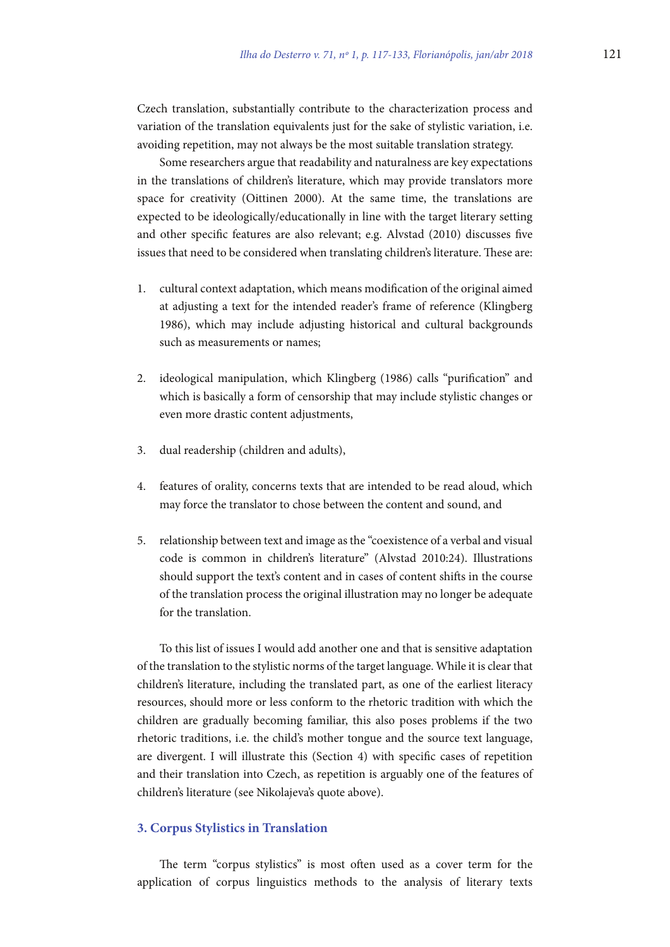Czech translation, substantially contribute to the characterization process and variation of the translation equivalents just for the sake of stylistic variation, i.e. avoiding repetition, may not always be the most suitable translation strategy.

Some researchers argue that readability and naturalness are key expectations in the translations of children's literature, which may provide translators more space for creativity (Oittinen 2000). At the same time, the translations are expected to be ideologically/educationally in line with the target literary setting and other specific features are also relevant; e.g. Alvstad (2010) discusses five issues that need to be considered when translating children's literature. These are:

- 1. cultural context adaptation, which means modification of the original aimed at adjusting a text for the intended reader's frame of reference (Klingberg 1986), which may include adjusting historical and cultural backgrounds such as measurements or names;
- 2. ideological manipulation, which Klingberg (1986) calls "purification" and which is basically a form of censorship that may include stylistic changes or even more drastic content adjustments,
- 3. dual readership (children and adults),
- 4. features of orality, concerns texts that are intended to be read aloud, which may force the translator to chose between the content and sound, and
- 5. relationship between text and image as the "coexistence of a verbal and visual code is common in children's literature" (Alvstad 2010:24). Illustrations should support the text's content and in cases of content shits in the course of the translation process the original illustration may no longer be adequate for the translation.

To this list of issues I would add another one and that is sensitive adaptation of the translation to the stylistic norms of the target language. While it is clear that children's literature, including the translated part, as one of the earliest literacy resources, should more or less conform to the rhetoric tradition with which the children are gradually becoming familiar, this also poses problems if the two rhetoric traditions, i.e. the child's mother tongue and the source text language, are divergent. I will illustrate this (Section 4) with specific cases of repetition and their translation into Czech, as repetition is arguably one of the features of children's literature (see Nikolajeva's quote above).

#### **3. Corpus Stylistics in Translation**

he term "corpus stylistics" is most oten used as a cover term for the application of corpus linguistics methods to the analysis of literary texts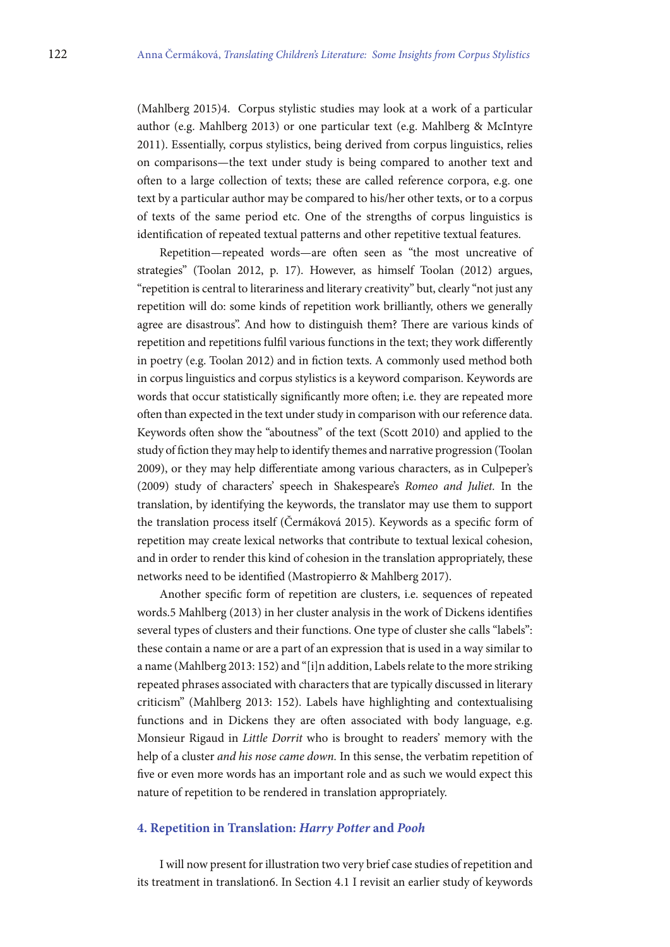(Mahlberg 2015)4. Corpus stylistic studies may look at a work of a particular author (e.g. Mahlberg 2013) or one particular text (e.g. Mahlberg & McIntyre 2011). Essentially, corpus stylistics, being derived from corpus linguistics, relies on comparisons—the text under study is being compared to another text and oten to a large collection of texts; these are called reference corpora, e.g. one text by a particular author may be compared to his/her other texts, or to a corpus of texts of the same period etc. One of the strengths of corpus linguistics is identification of repeated textual patterns and other repetitive textual features.

Repetition—repeated words—are oten seen as "the most uncreative of strategies" (Toolan 2012, p. 17). However, as himself Toolan (2012) argues, "repetition is central to literariness and literary creativity" but, clearly "not just any repetition will do: some kinds of repetition work brilliantly, others we generally agree are disastrous". And how to distinguish them? There are various kinds of repetition and repetitions fulil various functions in the text; they work diferently in poetry (e.g. Toolan 2012) and in iction texts. A commonly used method both in corpus linguistics and corpus stylistics is a keyword comparison. Keywords are words that occur statistically significantly more often; i.e. they are repeated more oten than expected in the text under study in comparison with our reference data. Keywords oten show the "aboutness" of the text (Scott 2010) and applied to the study of iction they may help to identify themes and narrative progression (Toolan 2009), or they may help diferentiate among various characters, as in Culpeper's (2009) study of characters' speech in Shakespeare's Romeo and Juliet. In the translation, by identifying the keywords, the translator may use them to support the translation process itself (Čermáková 2015). Keywords as a specific form of repetition may create lexical networks that contribute to textual lexical cohesion, and in order to render this kind of cohesion in the translation appropriately, these networks need to be identified (Mastropierro & Mahlberg 2017).

Another specific form of repetition are clusters, i.e. sequences of repeated words.5 Mahlberg (2013) in her cluster analysis in the work of Dickens identifies several types of clusters and their functions. One type of cluster she calls "labels": these contain a name or are a part of an expression that is used in a way similar to a name (Mahlberg 2013: 152) and "[i]n addition, Labels relate to the more striking repeated phrases associated with characters that are typically discussed in literary criticism" (Mahlberg 2013: 152). Labels have highlighting and contextualising functions and in Dickens they are oten associated with body language, e.g. Monsieur Rigaud in Little Dorrit who is brought to readers' memory with the help of a cluster and his nose came down. In this sense, the verbatim repetition of five or even more words has an important role and as such we would expect this nature of repetition to be rendered in translation appropriately.

## **4. Repetition in Translation: Harry Potter and Pooh**

I will now present for illustration two very brief case studies of repetition and its treatment in translation6. In Section 4.1 I revisit an earlier study of keywords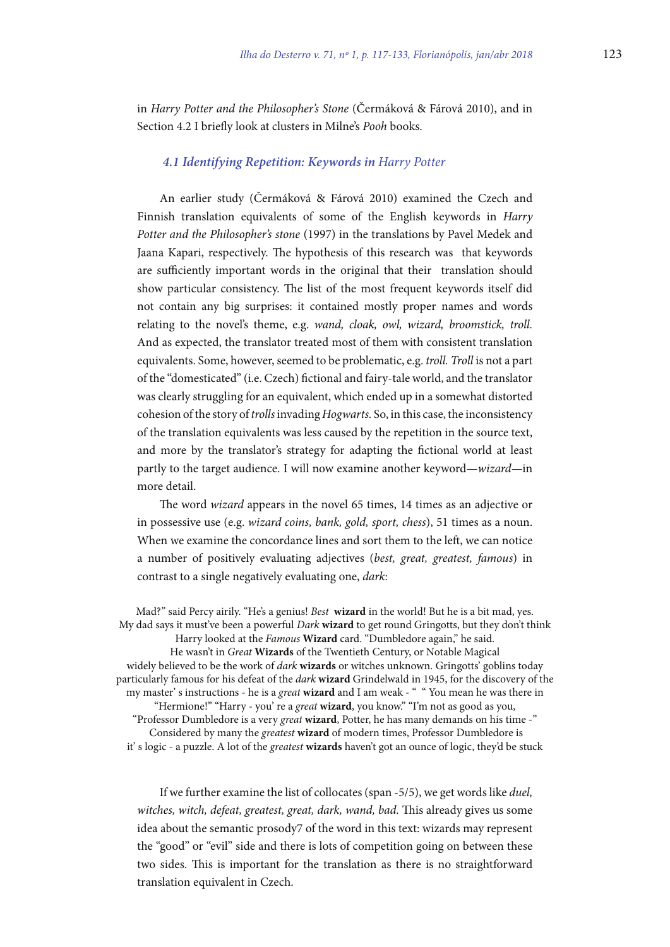in Harry Potter and the Philosopher's Stone (Čermáková & Fárová 2010), and in Section 4.2 I briefly look at clusters in Milne's Pooh books.

## *4.1 Identifying Repetition: Keywords in* Harry Potter

An earlier study (Čermáková & Fárová 2010) examined the Czech and Finnish translation equivalents of some of the English keywords in Harry Potter and the Philosopher's stone (1997) in the translations by Pavel Medek and Jaana Kapari, respectively. The hypothesis of this research was that keywords are sufficiently important words in the original that their translation should show particular consistency. The list of the most frequent keywords itself did not contain any big surprises: it contained mostly proper names and words relating to the novel's theme, e.g. wand, cloak, owl, wizard, broomstick, troll. And as expected, the translator treated most of them with consistent translation equivalents. Some, however, seemed to be problematic, e.g. troll. Troll is not a part of the "domesticated" (i.e. Czech) fictional and fairy-tale world, and the translator was clearly struggling for an equivalent, which ended up in a somewhat distorted cohesion of the story of trolls invading Hogwarts. So, in this case, the inconsistency of the translation equivalents was less caused by the repetition in the source text, and more by the translator's strategy for adapting the ictional world at least partly to the target audience. I will now examine another keyword—wizard—in more detail.

he word wizard appears in the novel 65 times, 14 times as an adjective or in possessive use (e.g. wizard coins, bank, gold, sport, chess), 51 times as a noun. When we examine the concordance lines and sort them to the left, we can notice a number of positively evaluating adjectives (best, great, greatest, famous) in contrast to a single negatively evaluating one, dark:

Mad?" said Percy airily. "He's a genius! Best **wizard** in the world! But he is a bit mad, yes. My dad says it must've been a powerful Dark **wizard** to get round Gringotts, but they don't think Harry looked at the Famous **Wizard** card. "Dumbledore again," he said. He wasn't in Great **Wizards** of the Twentieth Century, or Notable Magical widely believed to be the work of dark **wizards** or witches unknown. Gringotts' goblins today particularly famous for his defeat of the dark **wizard** Grindelwald in 1945, for the discovery of the my master' s instructions - he is a great **wizard** and I am weak - " " You mean he was there in "Hermione!" "Harry - you' re a great **wizard**, you know." "I'm not as good as you, "Professor Dumbledore is a very great **wizard**, Potter, he has many demands on his time -" Considered by many the greatest **wizard** of modern times, Professor Dumbledore is it' s logic - a puzzle. A lot of the greatest **wizards** haven't got an ounce of logic, they'd be stuck

If we further examine the list of collocates (span -5/5), we get words like duel, witches, witch, defeat, greatest, great, dark, wand, bad. This already gives us some idea about the semantic prosody7 of the word in this text: wizards may represent the "good" or "evil" side and there is lots of competition going on between these two sides. This is important for the translation as there is no straightforward translation equivalent in Czech.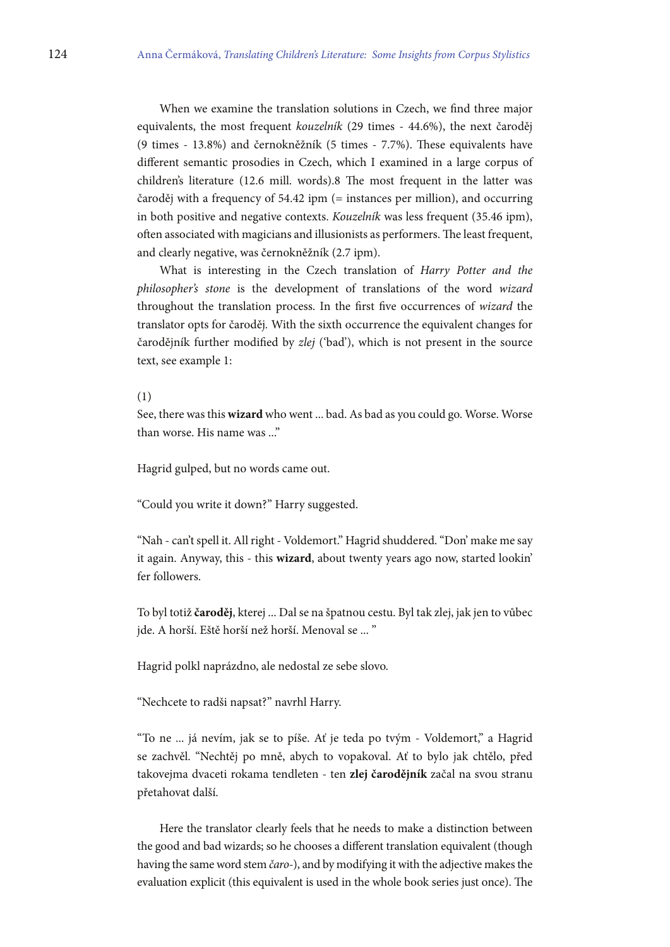When we examine the translation solutions in Czech, we find three major equivalents, the most frequent kouzelník (29 times - 44.6%), the next čaroděj (9 times - 13.8%) and černokněžník (5 times - 7.7%). These equivalents have diferent semantic prosodies in Czech, which I examined in a large corpus of children's literature (12.6 mill. words).8 The most frequent in the latter was čaroděj with a frequency of 54.42 ipm (= instances per million), and occurring in both positive and negative contexts. Kouzelník was less frequent (35.46 ipm), often associated with magicians and illusionists as performers. The least frequent, and clearly negative, was černokněžník (2.7 ipm).

What is interesting in the Czech translation of Harry Potter and the philosopher's stone is the development of translations of the word wizard throughout the translation process. In the first five occurrences of wizard the translator opts for čaroděj. With the sixth occurrence the equivalent changes for čarodějník further modified by zlej ('bad'), which is not present in the source text, see example 1:

#### (1)

See, there was this **wizard** who went ... bad. As bad as you could go. Worse. Worse than worse. His name was ..."

Hagrid gulped, but no words came out.

"Could you write it down?" Harry suggested.

"Nah - can't spell it. All right - Voldemort." Hagrid shuddered. "Don' make me say it again. Anyway, this - this **wizard**, about twenty years ago now, started lookin' fer followers.

To byl totiž **čaroděj**, kterej ... Dal se na špatnou cestu. Byl tak zlej, jak jen to vůbec jde. A horší. Eště horší než horší. Menoval se ... "

Hagrid polkl naprázdno, ale nedostal ze sebe slovo.

"Nechcete to radši napsat?" navrhl Harry.

"To ne ... já nevím, jak se to píše. Ať je teda po tvým - Voldemort," a Hagrid se zachvěl. "Nechtěj po mně, abych to vopakoval. Ať to bylo jak chtělo, před takovejma dvaceti rokama tendleten - ten **zlej čarodějník** začal na svou stranu přetahovat další.

Here the translator clearly feels that he needs to make a distinction between the good and bad wizards; so he chooses a diferent translation equivalent (though having the same word stem čaro-), and by modifying it with the adjective makes the evaluation explicit (this equivalent is used in the whole book series just once). The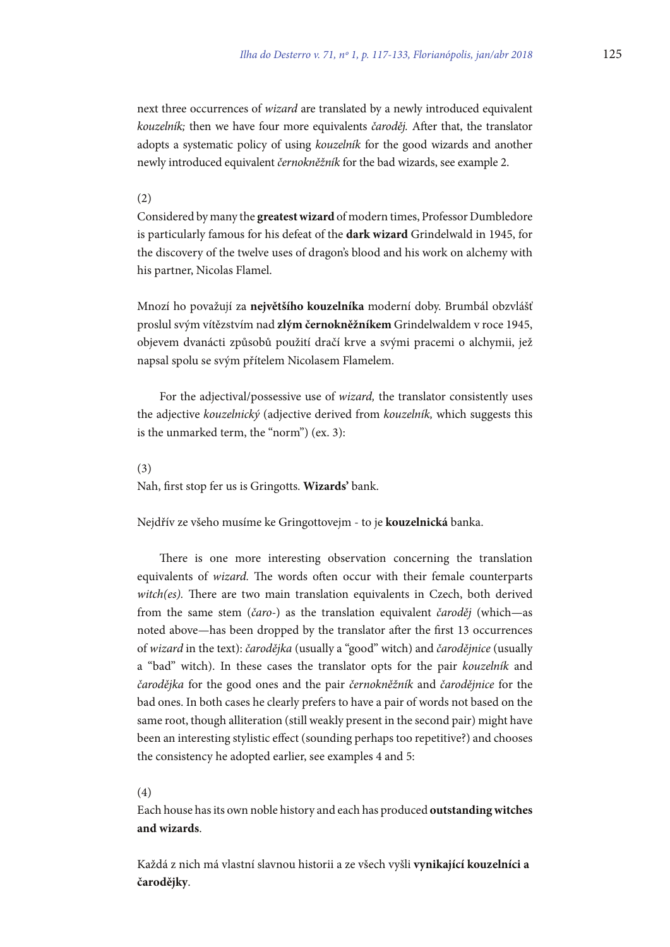next three occurrences of wizard are translated by a newly introduced equivalent kouzelník; then we have four more equivalents čaroděj. Ater that, the translator adopts a systematic policy of using kouzelník for the good wizards and another newly introduced equivalent černokněžník for the bad wizards, see example 2.

#### (2)

Considered by many the **greatest wizard** of modern times, Professor Dumbledore is particularly famous for his defeat of the **dark wizard** Grindelwald in 1945, for the discovery of the twelve uses of dragon's blood and his work on alchemy with his partner, Nicolas Flamel.

Mnozí ho považují za **největšího kouzelníka** moderní doby. Brumbál obzvlášť proslul svým vítězstvím nad **zlým černokněžníkem** Grindelwaldem v roce 1945, objevem dvanácti způsobů použití dračí krve a svými pracemi o alchymii, jež napsal spolu se svým přítelem Nicolasem Flamelem.

For the adjectival/possessive use of wizard, the translator consistently uses the adjective kouzelnický (adjective derived from kouzelník, which suggests this is the unmarked term, the "norm") (ex. 3):

#### (3)

Nah, first stop fer us is Gringotts. Wizards' bank.

Nejdřív ze všeho musíme ke Gringottovejm - to je **kouzelnická** banka.

here is one more interesting observation concerning the translation equivalents of *wizard*. The words often occur with their female counterparts witch(es). There are two main translation equivalents in Czech, both derived from the same stem (čaro-) as the translation equivalent čaroděj (which—as noted above—has been dropped by the translator after the first 13 occurrences of wizard in the text): čarodějka (usually a "good" witch) and čarodějnice (usually a "bad" witch). In these cases the translator opts for the pair kouzelník and čarodějka for the good ones and the pair černokněžník and čarodějnice for the bad ones. In both cases he clearly prefers to have a pair of words not based on the same root, though alliteration (still weakly present in the second pair) might have been an interesting stylistic effect (sounding perhaps too repetitive?) and chooses the consistency he adopted earlier, see examples 4 and 5:

#### (4)

Each house has its own noble history and each has produced **outstanding witches and wizards**.

Každá z nich má vlastní slavnou historii a ze všech vyšli **vynikající kouzelníci a čarodějky**.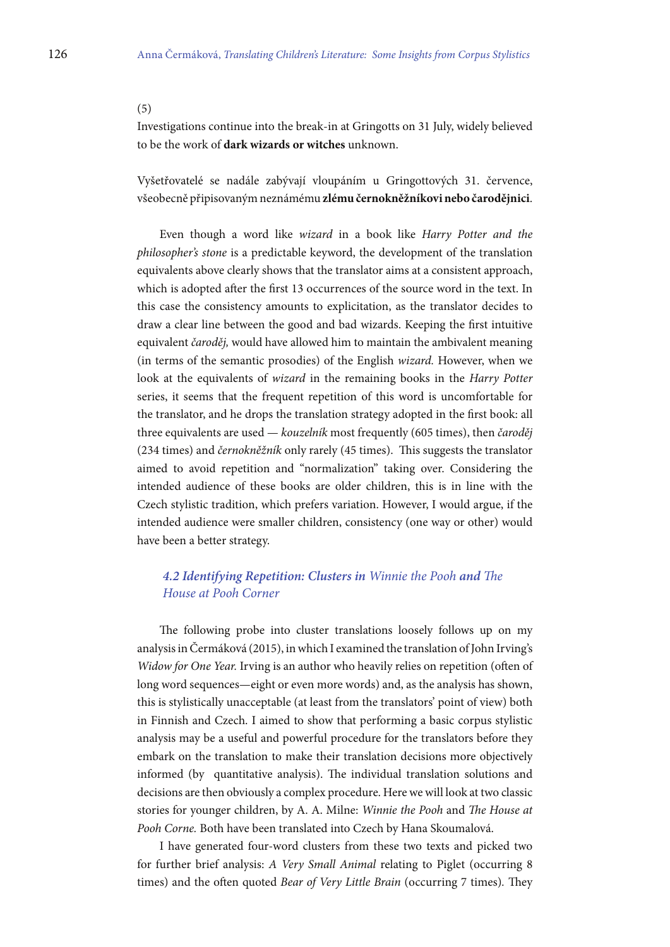### (5)

Investigations continue into the break-in at Gringotts on 31 July, widely believed to be the work of **dark wizards or witches** unknown.

Vyšetřovatelé se nadále zabývají vloupáním u Gringottových 31. července, všeobecně připisovaným neznámému **zlému černokněžníkovi nebo čarodějnici**.

Even though a word like wizard in a book like Harry Potter and the philosopher's stone is a predictable keyword, the development of the translation equivalents above clearly shows that the translator aims at a consistent approach, which is adopted after the first 13 occurrences of the source word in the text. In this case the consistency amounts to explicitation, as the translator decides to draw a clear line between the good and bad wizards. Keeping the first intuitive equivalent čaroděj, would have allowed him to maintain the ambivalent meaning (in terms of the semantic prosodies) of the English wizard. However, when we look at the equivalents of *wizard* in the remaining books in the *Harry Potter* series, it seems that the frequent repetition of this word is uncomfortable for the translator, and he drops the translation strategy adopted in the first book: all three equivalents are used — kouzelník most frequently (605 times), then čaroděj (234 times) and černokněžník only rarely (45 times). This suggests the translator aimed to avoid repetition and "normalization" taking over. Considering the intended audience of these books are older children, this is in line with the Czech stylistic tradition, which prefers variation. However, I would argue, if the intended audience were smaller children, consistency (one way or other) would have been a better strategy.

# **4.2 Identifying Repetition: Clusters in Winnie the Pooh and The** House at Pooh Corner

The following probe into cluster translations loosely follows up on my analysis in Čermáková (2015), in which I examined the translation of John Irving's Widow for One Year. Irving is an author who heavily relies on repetition (often of long word sequences—eight or even more words) and, as the analysis has shown, this is stylistically unacceptable (at least from the translators' point of view) both in Finnish and Czech. I aimed to show that performing a basic corpus stylistic analysis may be a useful and powerful procedure for the translators before they embark on the translation to make their translation decisions more objectively informed (by quantitative analysis). The individual translation solutions and decisions are then obviously a complex procedure. Here we will look at two classic stories for younger children, by A. A. Milne: Winnie the Pooh and The House at Pooh Corne. Both have been translated into Czech by Hana Skoumalová.

I have generated four-word clusters from these two texts and picked two for further brief analysis: A Very Small Animal relating to Piglet (occurring 8 times) and the often quoted *Bear of Very Little Brain* (occurring 7 times). They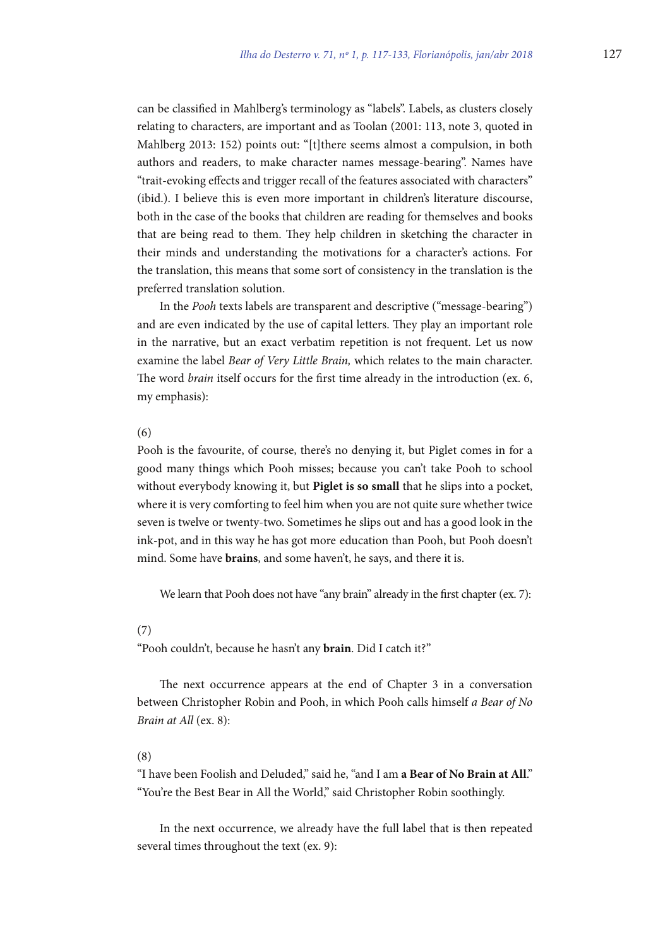can be classiied in Mahlberg's terminology as "labels". Labels, as clusters closely relating to characters, are important and as Toolan (2001: 113, note 3, quoted in Mahlberg 2013: 152) points out: "[t]there seems almost a compulsion, in both authors and readers, to make character names message-bearing". Names have "trait-evoking efects and trigger recall of the features associated with characters" (ibid.). I believe this is even more important in children's literature discourse, both in the case of the books that children are reading for themselves and books that are being read to them. They help children in sketching the character in their minds and understanding the motivations for a character's actions. For the translation, this means that some sort of consistency in the translation is the preferred translation solution.

In the Pooh texts labels are transparent and descriptive ("message-bearing") and are even indicated by the use of capital letters. They play an important role in the narrative, but an exact verbatim repetition is not frequent. Let us now examine the label Bear of Very Little Brain, which relates to the main character. The word *brain* itself occurs for the first time already in the introduction (ex. 6, my emphasis):

#### (6)

Pooh is the favourite, of course, there's no denying it, but Piglet comes in for a good many things which Pooh misses; because you can't take Pooh to school without everybody knowing it, but **Piglet is so small** that he slips into a pocket, where it is very comforting to feel him when you are not quite sure whether twice seven is twelve or twenty-two. Sometimes he slips out and has a good look in the ink-pot, and in this way he has got more education than Pooh, but Pooh doesn't mind. Some have **brains**, and some haven't, he says, and there it is.

We learn that Pooh does not have "any brain" already in the first chapter (ex. 7):

## (7)

"Pooh couldn't, because he hasn't any **brain**. Did I catch it?"

he next occurrence appears at the end of Chapter 3 in a conversation between Christopher Robin and Pooh, in which Pooh calls himself a Bear of No Brain at All (ex. 8):

## (8)

"I have been Foolish and Deluded," said he, "and I am **a Bear of No Brain at All**." "You're the Best Bear in All the World," said Christopher Robin soothingly.

In the next occurrence, we already have the full label that is then repeated several times throughout the text (ex. 9):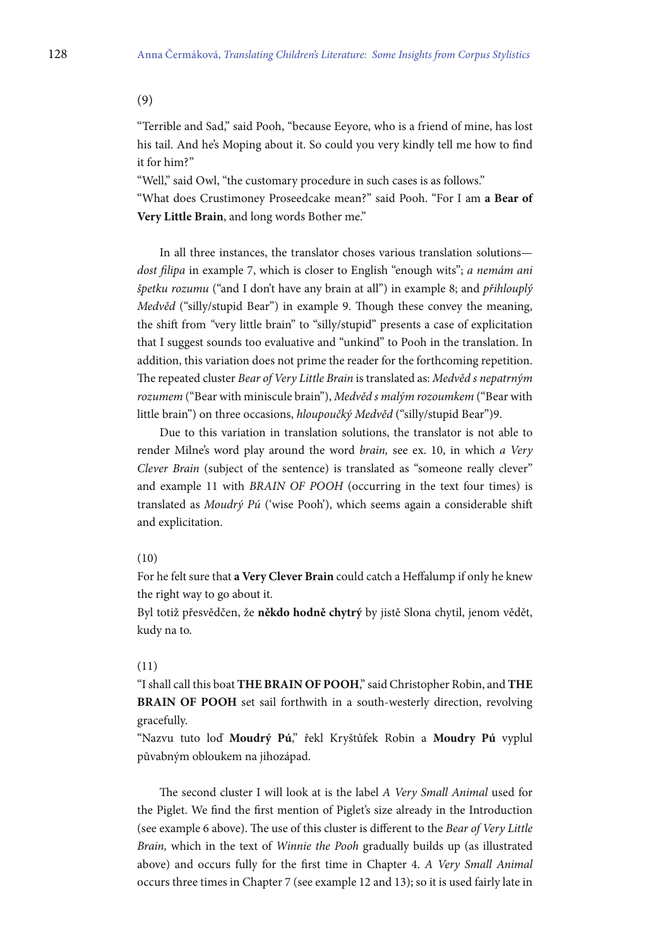(9)

"Terrible and Sad," said Pooh, "because Eeyore, who is a friend of mine, has lost his tail. And he's Moping about it. So could you very kindly tell me how to ind it for him?"

"Well," said Owl, "the customary procedure in such cases is as follows."

"What does Crustimoney Proseedcake mean?" said Pooh. "For I am **a Bear of Very Little Brain**, and long words Bother me."

In all three instances, the translator choses various translation solutions dost filipa in example 7, which is closer to English "enough wits"; a nemám ani špetku rozumu ("and I don't have any brain at all") in example 8; and přihlouplý Medvěd ("silly/stupid Bear") in example 9. Though these convey the meaning, the shift from "very little brain" to "silly/stupid" presents a case of explicitation that I suggest sounds too evaluative and "unkind" to Pooh in the translation. In addition, this variation does not prime the reader for the forthcoming repetition. he repeated cluster Bear of Very Little Brain is translated as: Medvěd s nepatrným rozumem ("Bear with miniscule brain"), Medvěd s malým rozoumkem ("Bear with little brain") on three occasions, hloupoučký Medvěd ("silly/stupid Bear")9.

Due to this variation in translation solutions, the translator is not able to render Milne's word play around the word brain, see ex. 10, in which a Very Clever Brain (subject of the sentence) is translated as "someone really clever" and example 11 with BRAIN OF POOH (occurring in the text four times) is translated as Moudrý Pú ('wise Pooh'), which seems again a considerable shit and explicitation.

## (10)

For he felt sure that **a Very Clever Brain** could catch a Hefalump if only he knew the right way to go about it.

Byl totiž přesvědčen, že **někdo hodně chytrý** by jistě Slona chytil, jenom vědět, kudy na to.

#### (11)

"I shall call this boat **THE BRAIN OF POOH**," said Christopher Robin, and **THE BRAIN OF POOH** set sail forthwith in a south-westerly direction, revolving gracefully.

"Nazvu tuto loď **Moudrý Pú**," řekl Kryštůfek Robin a **Moudry Pú** vyplul půvabným obloukem na jihozápad.

The second cluster I will look at is the label A Very Small Animal used for the Piglet. We find the first mention of Piglet's size already in the Introduction (see example 6 above). The use of this cluster is different to the Bear of Very Little Brain, which in the text of Winnie the Pooh gradually builds up (as illustrated above) and occurs fully for the first time in Chapter 4. A Very Small Animal occurs three times in Chapter 7 (see example 12 and 13); so it is used fairly late in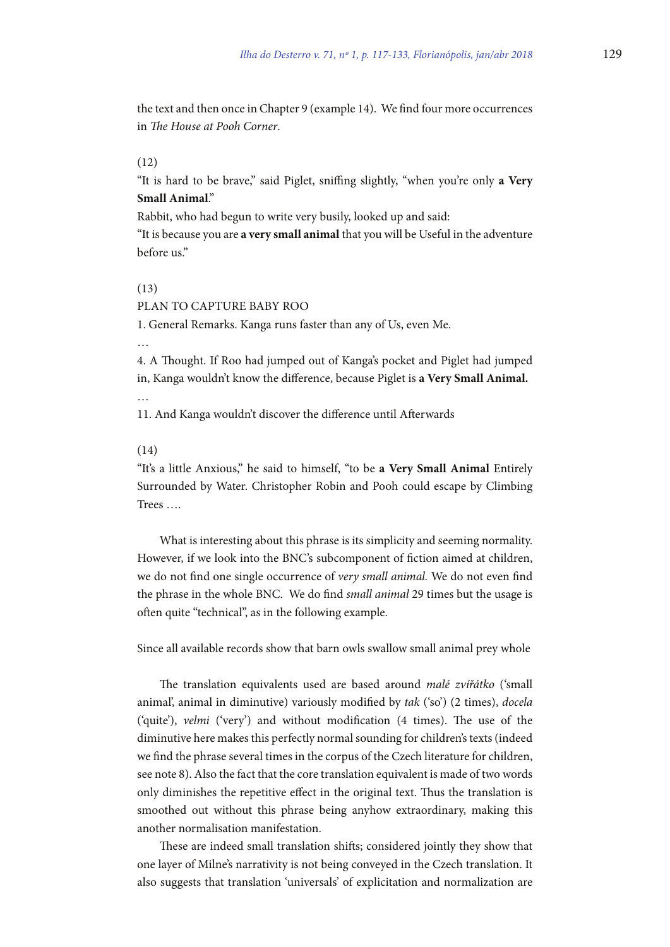the text and then once in Chapter 9 (example 14). We find four more occurrences in The House at Pooh Corner.

## (12)

"It is hard to be brave," said Piglet, sniffing slightly, "when you're only a Very **Small Animal**."

Rabbit, who had begun to write very busily, looked up and said:

"It is because you are **a very small animal** that you will be Useful in the adventure before us."

## (13)

## PLAN TO CAPTURE BABY ROO

1. General Remarks. Kanga runs faster than any of Us, even Me.

…

4. A Thought. If Roo had jumped out of Kanga's pocket and Piglet had jumped in, Kanga wouldn't know the diference, because Piglet is **a Very Small Animal.**

…

11. And Kanga wouldn't discover the diference until Aterwards

#### (14)

"It's a little Anxious," he said to himself, "to be **a Very Small Animal** Entirely Surrounded by Water. Christopher Robin and Pooh could escape by Climbing Trees ….

What is interesting about this phrase is its simplicity and seeming normality. However, if we look into the BNC's subcomponent of iction aimed at children, we do not find one single occurrence of very small animal. We do not even find the phrase in the whole BNC. We do find small animal 29 times but the usage is oten quite "technical", as in the following example.

Since all available records show that barn owls swallow small animal prey whole

he translation equivalents used are based around malé zvířátko ('small animal', animal in diminutive) variously modified by  $tak$  ('so') (2 times), docela ('quite'), velmi ('very') and without modification  $(4 \times 1)$ . The use of the diminutive here makes this perfectly normal sounding for children's texts (indeed we find the phrase several times in the corpus of the Czech literature for children, see note 8). Also the fact that the core translation equivalent is made of two words only diminishes the repetitive effect in the original text. Thus the translation is smoothed out without this phrase being anyhow extraordinary, making this another normalisation manifestation.

hese are indeed small translation shits; considered jointly they show that one layer of Milne's narrativity is not being conveyed in the Czech translation. It also suggests that translation 'universals' of explicitation and normalization are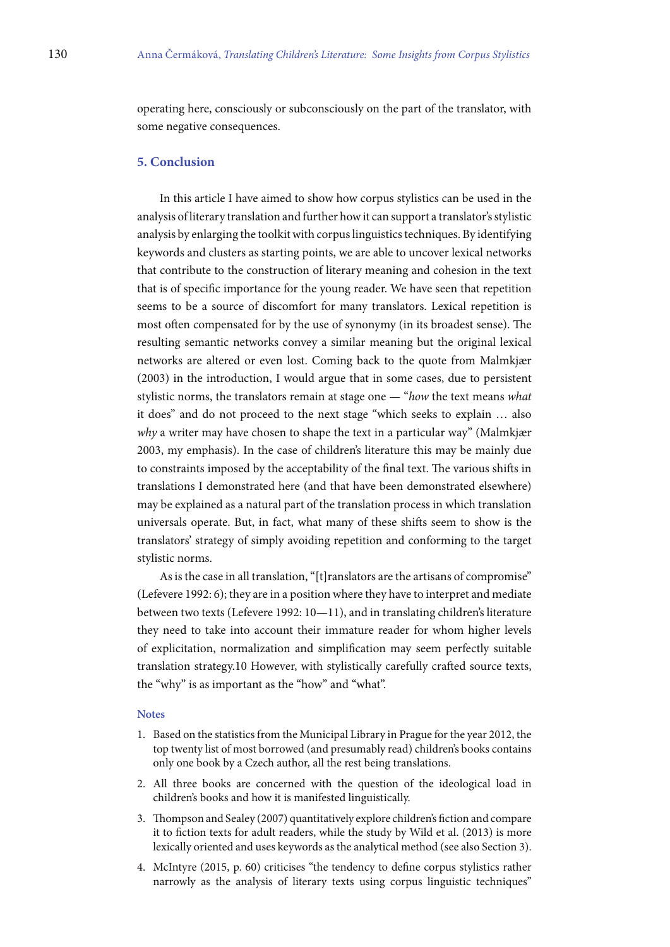operating here, consciously or subconsciously on the part of the translator, with some negative consequences.

## **5. Conclusion**

In this article I have aimed to show how corpus stylistics can be used in the analysis of literary translation and further how it can support a translator's stylistic analysis by enlarging the toolkit with corpus linguistics techniques. By identifying keywords and clusters as starting points, we are able to uncover lexical networks that contribute to the construction of literary meaning and cohesion in the text that is of speciic importance for the young reader. We have seen that repetition seems to be a source of discomfort for many translators. Lexical repetition is most often compensated for by the use of synonymy (in its broadest sense). The resulting semantic networks convey a similar meaning but the original lexical networks are altered or even lost. Coming back to the quote from Malmkjær (2003) in the introduction, I would argue that in some cases, due to persistent stylistic norms, the translators remain at stage one — "how the text means what it does" and do not proceed to the next stage "which seeks to explain … also why a writer may have chosen to shape the text in a particular way" (Malmkjær 2003, my emphasis). In the case of children's literature this may be mainly due to constraints imposed by the acceptability of the final text. The various shifts in translations I demonstrated here (and that have been demonstrated elsewhere) may be explained as a natural part of the translation process in which translation universals operate. But, in fact, what many of these shits seem to show is the translators' strategy of simply avoiding repetition and conforming to the target stylistic norms.

As is the case in all translation, "[t]ranslators are the artisans of compromise" (Lefevere 1992: 6); they are in a position where they have to interpret and mediate between two texts (Lefevere 1992: 10—11), and in translating children's literature they need to take into account their immature reader for whom higher levels of explicitation, normalization and simpliication may seem perfectly suitable translation strategy.10 However, with stylistically carefully crated source texts, the "why" is as important as the "how" and "what".

#### **Notes**

- 1. Based on the statistics from the Municipal Library in Prague for the year 2012, the top twenty list of most borrowed (and presumably read) children's books contains only one book by a Czech author, all the rest being translations.
- 2. All three books are concerned with the question of the ideological load in children's books and how it is manifested linguistically.
- 3. Thompson and Sealey (2007) quantitatively explore children's fiction and compare it to fiction texts for adult readers, while the study by Wild et al. (2013) is more lexically oriented and uses keywords as the analytical method (see also Section 3).
- 4. McIntyre (2015, p. 60) criticises "the tendency to deine corpus stylistics rather narrowly as the analysis of literary texts using corpus linguistic techniques"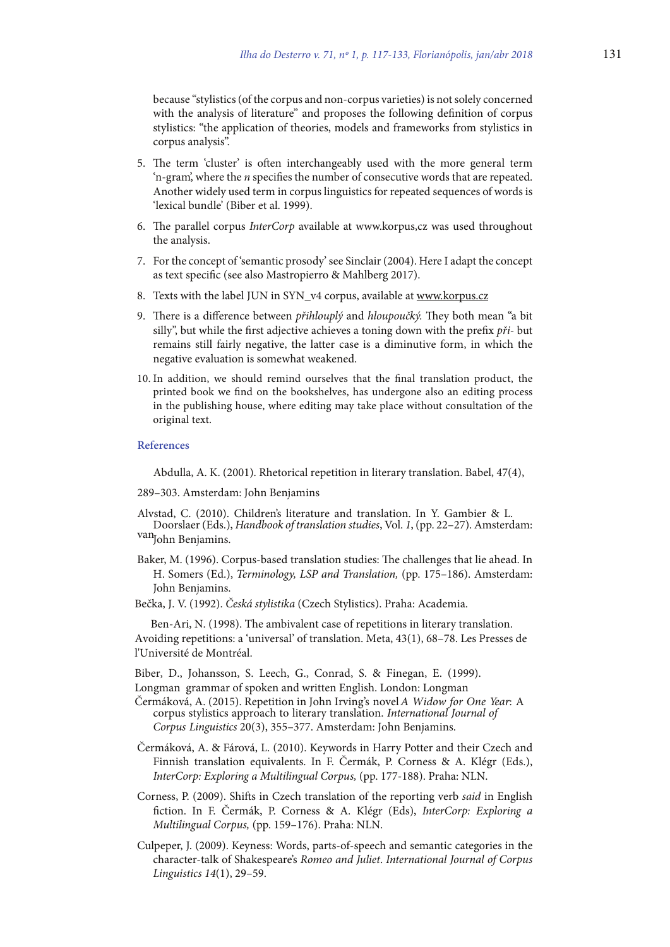because "stylistics (of the corpus and non-corpus varieties) is not solely concerned with the analysis of literature" and proposes the following definition of corpus stylistics: "the application of theories, models and frameworks from stylistics in corpus analysis".

- 5. he term 'cluster' is oten interchangeably used with the more general term 'n-gram', where the *n* specifies the number of consecutive words that are repeated. Another widely used term in corpus linguistics for repeated sequences of words is 'lexical bundle' (Biber et al. 1999).
- 6. The parallel corpus *InterCorp* available at www.korpus,cz was used throughout the analysis.
- 7. For the concept of 'semantic prosody' see Sinclair (2004). Here I adapt the concept as text specific (see also Mastropierro & Mahlberg 2017).
- 8. Texts with the label JUN in SYN\_v4 corpus, available at www.korpus.cz
- 9. There is a difference between  $p\ddot{r}$ ihlouplý and hloupoučký. They both mean "a bit silly", but while the first adjective achieves a toning down with the prefix  $pri$ - but remains still fairly negative, the latter case is a diminutive form, in which the negative evaluation is somewhat weakened.
- 10. In addition, we should remind ourselves that the inal translation product, the printed book we ind on the bookshelves, has undergone also an editing process in the publishing house, where editing may take place without consultation of the original text.

#### **References**

Abdulla, A. K. (2001). Rhetorical repetition in literary translation. Babel, 47(4),

289–303. Amsterdam: John Benjamins

Alvstad, C. (2010). Children's literature and translation. In Y. Gambier & L.

- van<sub>John Benjamins.</sub> Doorslaer (Eds.), Handbook of translation studies, Vol. 1, (pp. 22–27). Amsterdam:
- Baker, M. (1996). Corpus-based translation studies: The challenges that lie ahead. In H. Somers (Ed.), Terminology, LSP and Translation, (pp. 175–186). Amsterdam: John Benjamins.
- Bečka, J. V. (1992). Česká stylistika (Czech Stylistics). Praha: Academia.

Ben-Ari, N. (1998). The ambivalent case of repetitions in literary translation. Avoiding repetitions: a 'universal' of translation. Meta, 43(1), 68–78. Les Presses de l'Université de Montréal.

Biber, D., Johansson, S. Leech, G., Conrad, S. & Finegan, E. (1999).

Longman grammar of spoken and written English. London: Longman

- Čermáková, A. (2015). Repetition in John Irving's novel A Widow for One Year: A corpus stylistics approach to literary translation. International Journal of Corpus Linguistics 20(3), 355–377. Amsterdam: John Benjamins.
- Čermáková, A. & Fárová, L. (2010). Keywords in Harry Potter and their Czech and Finnish translation equivalents. In F. Čermák, P. Corness & A. Klégr (Eds.), InterCorp: Exploring a Multilingual Corpus, (pp. 177-188). Praha: NLN.
- Corness, P. (2009). Shits in Czech translation of the reporting verb said in English fiction. In F. Čermák, P. Corness & A. Klégr (Eds), InterCorp: Exploring a Multilingual Corpus, (pp. 159–176). Praha: NLN.
- Culpeper, J. (2009). Keyness: Words, parts-of-speech and semantic categories in the character-talk of Shakespeare's Romeo and Juliet. International Journal of Corpus Linguistics 14(1), 29–59.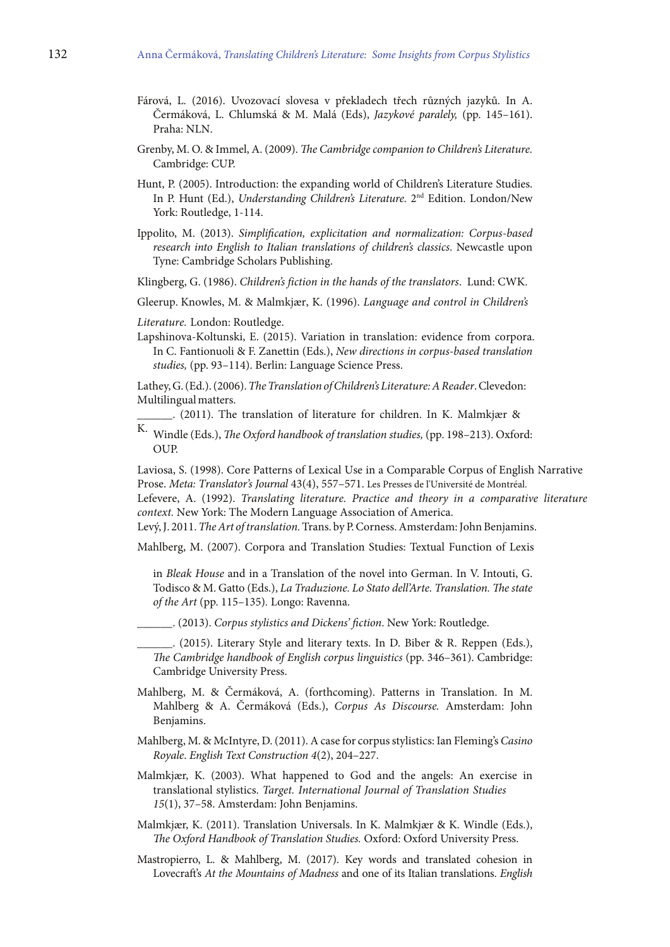- Fárová, L. (2016). Uvozovací slovesa v překladech třech různých jazyků. In A. Čermáková, L. Chlumská & M. Malá (Eds), Jazykové paralely, (pp. 145–161). Praha: NLN.
- Grenby, M. O. & Immel, A. (2009). The Cambridge companion to Children's Literature. Cambridge: CUP.
- Hunt, P. (2005). Introduction: the expanding world of Children's Literature Studies. In P. Hunt (Ed.), Understanding Children's Literature. 2<sup>nd</sup> Edition. London/New York: Routledge, 1-114.
- Ippolito, M. (2013). Simplification, explicitation and normalization: Corpus-based research into English to Italian translations of children's classics. Newcastle upon Tyne: Cambridge Scholars Publishing.
- Klingberg, G. (1986). Children's fiction in the hands of the translators. Lund: CWK.
- Gleerup. Knowles, M. & Malmkjær, K. (1996). Language and control in Children's

Literature. London: Routledge.

Lapshinova-Koltunski, E. (2015). Variation in translation: evidence from corpora. In C. Fantionuoli & F. Zanettin (Eds.), New directions in corpus-based translation studies, (pp. 93–114). Berlin: Language Science Press.

Lathey, G. (Ed.). (2006). The Translation of Children's Literature: A Reader. Clevedon: Multilingual matters.

\_\_\_\_\_\_. (2011). The translation of literature for children. In K. Malmkjær &

K. Windle (Eds.), The Oxford handbook of translation studies, (pp. 198-213). Oxford: OUP.

Laviosa, S. (1998). Core Patterns of Lexical Use in a Comparable Corpus of English Narrative Prose. Meta: Translator's Journal 43(4), 557–571. Les Presses de l'Université de Montréal.

Lefevere, A. (1992). Translating literature. Practice and theory in a comparative literature context. New York: The Modern Language Association of America.

Levý, J. 2011. The Art of translation. Trans. by P. Corness. Amsterdam: John Benjamins.

Mahlberg, M. (2007). Corpora and Translation Studies: Textual Function of Lexis

in Bleak House and in a Translation of the novel into German. In V. Intouti, G. Todisco & M. Gatto (Eds.), La Traduzione. Lo Stato dell'Arte. Translation. The state of the Art (pp. 115–135). Longo: Ravenna.

. (2013). Corpus stylistics and Dickens' fiction. New York: Routledge.

\_\_\_\_\_\_. (2015). Literary Style and literary texts. In D. Biber & R. Reppen (Eds.), he Cambridge handbook of English corpus linguistics (pp. 346–361). Cambridge: Cambridge University Press.

- Mahlberg, M. & Čermáková, A. (forthcoming). Patterns in Translation. In M. Mahlberg & A. Čermáková (Eds.), Corpus As Discourse. Amsterdam: John Benjamins.
- Mahlberg, M. & McIntyre, D. (2011). A case for corpus stylistics: Ian Fleming's Casino Royale. English Text Construction 4(2), 204–227.

Malmkjær, K. (2003). What happened to God and the angels: An exercise in translational stylistics. Target. International Journal of Translation Studies 15(1), 37–58. Amsterdam: John Benjamins.

- Malmkjær, K. (2011). Translation Universals. In K. Malmkjær & K. Windle (Eds.), he Oxford Handbook of Translation Studies. Oxford: Oxford University Press.
- Mastropierro, L. & Mahlberg, M. (2017). Key words and translated cohesion in Lovecrat's At the Mountains of Madness and one of its Italian translations. English